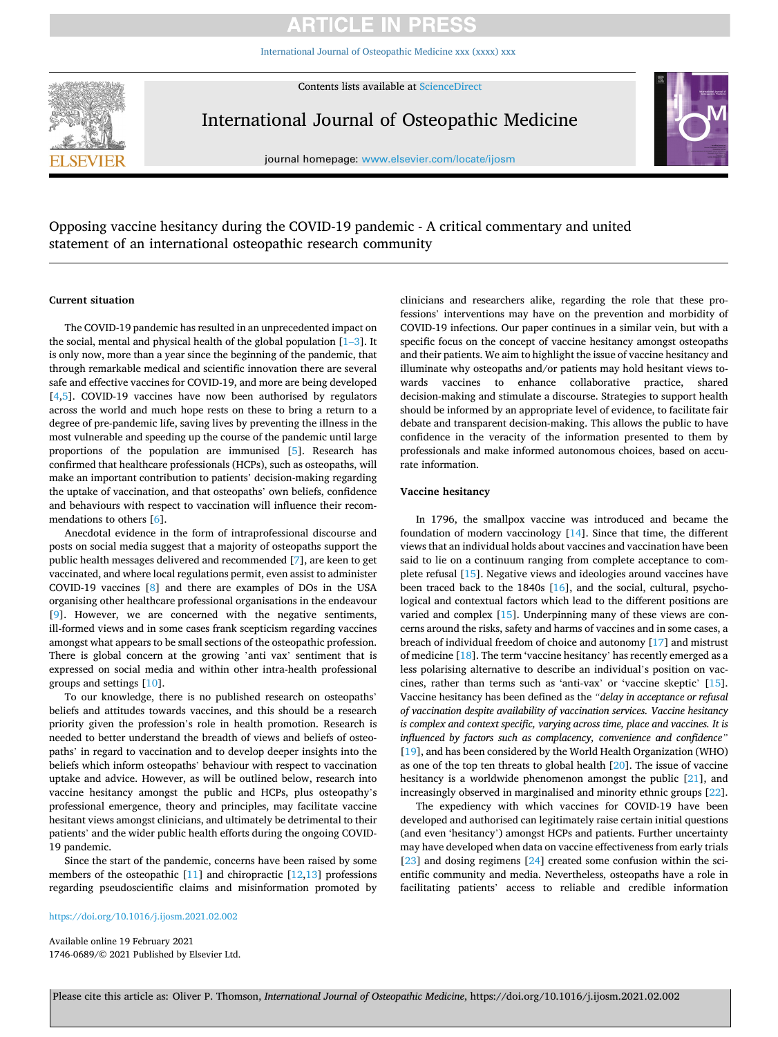[International Journal of Osteopathic Medicine xxx \(xxxx\) xxx](https://doi.org/10.1016/j.ijosm.2021.02.002)

Contents lists available at [ScienceDirect](www.sciencedirect.com/science/journal/17460689)



International Journal of Osteopathic Medicine



journal homepage: [www.elsevier.com/locate/ijosm](https://www.elsevier.com/locate/ijosm) 

Opposing vaccine hesitancy during the COVID-19 pandemic - A critical commentary and united statement of an international osteopathic research community

#### **Current situation**

The COVID-19 pandemic has resulted in an unprecedented impact on the social, mental and physical health of the global population  $[1-3]$  $[1-3]$ . It is only now, more than a year since the beginning of the pandemic, that through remarkable medical and scientific innovation there are several safe and effective vaccines for COVID-19, and more are being developed [[4](#page-2-0),[5](#page-2-0)]. COVID-19 vaccines have now been authorised by regulators across the world and much hope rests on these to bring a return to a degree of pre-pandemic life, saving lives by preventing the illness in the most vulnerable and speeding up the course of the pandemic until large proportions of the population are immunised [\[5\]](#page-2-0). Research has confirmed that healthcare professionals (HCPs), such as osteopaths, will make an important contribution to patients' decision-making regarding the uptake of vaccination, and that osteopaths' own beliefs, confidence and behaviours with respect to vaccination will influence their recommendations to others [[6](#page-2-0)].

Anecdotal evidence in the form of intraprofessional discourse and posts on social media suggest that a majority of osteopaths support the public health messages delivered and recommended [\[7\]](#page-2-0), are keen to get vaccinated, and where local regulations permit, even assist to administer COVID-19 vaccines [[8](#page-2-0)] and there are examples of DOs in the USA organising other healthcare professional organisations in the endeavour [[9](#page-2-0)]. However, we are concerned with the negative sentiments, ill-formed views and in some cases frank scepticism regarding vaccines amongst what appears to be small sections of the osteopathic profession. There is global concern at the growing 'anti vax' sentiment that is expressed on social media and within other intra-health professional groups and settings [[10\]](#page-2-0).

To our knowledge, there is no published research on osteopaths' beliefs and attitudes towards vaccines, and this should be a research priority given the profession's role in health promotion. Research is needed to better understand the breadth of views and beliefs of osteopaths' in regard to vaccination and to develop deeper insights into the beliefs which inform osteopaths' behaviour with respect to vaccination uptake and advice. However, as will be outlined below, research into vaccine hesitancy amongst the public and HCPs, plus osteopathy's professional emergence, theory and principles, may facilitate vaccine hesitant views amongst clinicians, and ultimately be detrimental to their patients' and the wider public health efforts during the ongoing COVID-19 pandemic.

Since the start of the pandemic, concerns have been raised by some members of the osteopathic [\[11](#page-2-0)] and chiropractic [[12,13](#page-2-0)] professions regarding pseudoscientific claims and misinformation promoted by

<https://doi.org/10.1016/j.ijosm.2021.02.002>

Available online 19 February 2021 1746-0689/© 2021 Published by Elsevier Ltd. clinicians and researchers alike, regarding the role that these professions' interventions may have on the prevention and morbidity of COVID-19 infections. Our paper continues in a similar vein, but with a specific focus on the concept of vaccine hesitancy amongst osteopaths and their patients. We aim to highlight the issue of vaccine hesitancy and illuminate why osteopaths and/or patients may hold hesitant views towards vaccines to enhance collaborative practice, shared decision-making and stimulate a discourse. Strategies to support health should be informed by an appropriate level of evidence, to facilitate fair debate and transparent decision-making. This allows the public to have confidence in the veracity of the information presented to them by professionals and make informed autonomous choices, based on accurate information.

#### **Vaccine hesitancy**

In 1796, the smallpox vaccine was introduced and became the foundation of modern vaccinology [\[14](#page-2-0)]. Since that time, the different views that an individual holds about vaccines and vaccination have been said to lie on a continuum ranging from complete acceptance to complete refusal [[15\]](#page-2-0). Negative views and ideologies around vaccines have been traced back to the 1840s [[16\]](#page-2-0), and the social, cultural, psychological and contextual factors which lead to the different positions are varied and complex [\[15](#page-2-0)]. Underpinning many of these views are concerns around the risks, safety and harms of vaccines and in some cases, a breach of individual freedom of choice and autonomy [[17\]](#page-2-0) and mistrust of medicine [\[18](#page-2-0)]. The term 'vaccine hesitancy' has recently emerged as a less polarising alternative to describe an individual's position on vaccines, rather than terms such as 'anti-vax' or 'vaccine skeptic' [\[15](#page-2-0)]. Vaccine hesitancy has been defined as the *"delay in acceptance or refusal of vaccination despite availability of vaccination services. Vaccine hesitancy is complex and context specific, varying across time, place and vaccines. It is influenced by factors such as complacency, convenience and confidence"*  [[19\]](#page-2-0), and has been considered by the World Health Organization (WHO) as one of the top ten threats to global health [[20\]](#page-2-0). The issue of vaccine hesitancy is a worldwide phenomenon amongst the public [[21\]](#page-2-0), and increasingly observed in marginalised and minority ethnic groups [\[22](#page-3-0)].

The expediency with which vaccines for COVID-19 have been developed and authorised can legitimately raise certain initial questions (and even 'hesitancy') amongst HCPs and patients. Further uncertainty may have developed when data on vaccine effectiveness from early trials [[23\]](#page-3-0) and dosing regimens [[24\]](#page-3-0) created some confusion within the scientific community and media. Nevertheless, osteopaths have a role in facilitating patients' access to reliable and credible information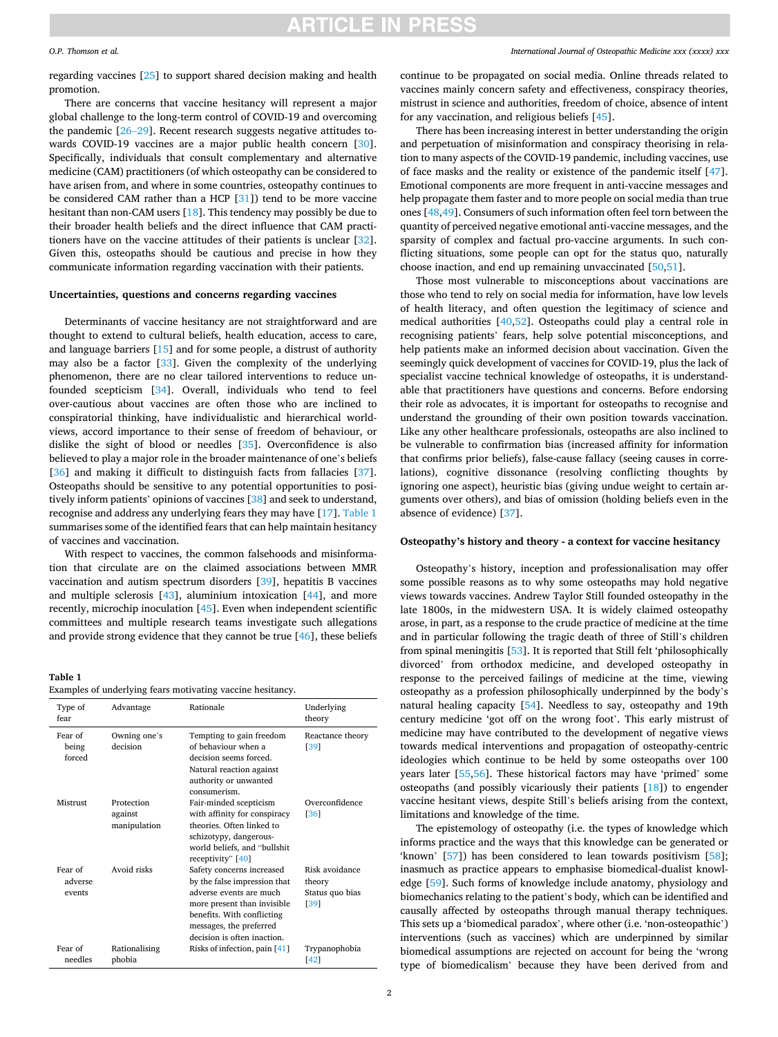#### *O.P. Thomson et al.*

regarding vaccines [\[25\]](#page-3-0) to support shared decision making and health promotion.

There are concerns that vaccine hesitancy will represent a major global challenge to the long-term control of COVID-19 and overcoming the pandemic [26–[29\]](#page-3-0). Recent research suggests negative attitudes towards COVID-19 vaccines are a major public health concern [\[30](#page-3-0)]. Specifically, individuals that consult complementary and alternative medicine (CAM) practitioners (of which osteopathy can be considered to have arisen from, and where in some countries, osteopathy continues to be considered CAM rather than a HCP [[31\]](#page-3-0)) tend to be more vaccine hesitant than non-CAM users [\[18](#page-2-0)]. This tendency may possibly be due to their broader health beliefs and the direct influence that CAM practitioners have on the vaccine attitudes of their patients is unclear [\[32](#page-3-0)]. Given this, osteopaths should be cautious and precise in how they communicate information regarding vaccination with their patients.

#### **Uncertainties, questions and concerns regarding vaccines**

Determinants of vaccine hesitancy are not straightforward and are thought to extend to cultural beliefs, health education, access to care, and language barriers [\[15](#page-2-0)] and for some people, a distrust of authority may also be a factor [[33\]](#page-3-0). Given the complexity of the underlying phenomenon, there are no clear tailored interventions to reduce unfounded scepticism [[34\]](#page-3-0). Overall, individuals who tend to feel over-cautious about vaccines are often those who are inclined to conspiratorial thinking, have individualistic and hierarchical worldviews, accord importance to their sense of freedom of behaviour, or dislike the sight of blood or needles [\[35](#page-3-0)]. Overconfidence is also believed to play a major role in the broader maintenance of one's beliefs [[36\]](#page-3-0) and making it difficult to distinguish facts from fallacies [\[37](#page-3-0)]. Osteopaths should be sensitive to any potential opportunities to positively inform patients' opinions of vaccines [\[38](#page-3-0)] and seek to understand, recognise and address any underlying fears they may have [\[17](#page-2-0)]. Table 1 summarises some of the identified fears that can help maintain hesitancy of vaccines and vaccination.

With respect to vaccines, the common falsehoods and misinformation that circulate are on the claimed associations between MMR vaccination and autism spectrum disorders [\[39](#page-3-0)], hepatitis B vaccines and multiple sclerosis [[43\]](#page-3-0), aluminium intoxication [\[44\]](#page-3-0), and more recently, microchip inoculation [[45\]](#page-3-0). Even when independent scientific committees and multiple research teams investigate such allegations and provide strong evidence that they cannot be true [[46\]](#page-3-0), these beliefs

#### **Table 1**

|  |  |  | Examples of underlying fears motivating vaccine hesitancy. |
|--|--|--|------------------------------------------------------------|
|--|--|--|------------------------------------------------------------|

| Type of<br>fear              | Advantage                             | Rationale                                                                                                                                                                                                   | Underlying<br>theory                                |
|------------------------------|---------------------------------------|-------------------------------------------------------------------------------------------------------------------------------------------------------------------------------------------------------------|-----------------------------------------------------|
| Fear of<br>being<br>forced   | Owning one's<br>decision              | Tempting to gain freedom<br>of behaviour when a<br>decision seems forced.<br>Natural reaction against<br>authority or unwanted<br>consumerism.                                                              | Reactance theory<br>[39]                            |
| Mistrust                     | Protection<br>against<br>manipulation | Fair-minded scepticism<br>with affinity for conspiracy<br>theories. Often linked to<br>schizotypy, dangerous-<br>world beliefs, and "bullshit<br>receptivity" $[40]$                                        | Overconfidence<br>[36]                              |
| Fear of<br>adverse<br>events | Avoid risks                           | Safety concerns increased<br>by the false impression that<br>adverse events are much<br>more present than invisible<br>benefits. With conflicting<br>messages, the preferred<br>decision is often inaction. | Risk avoidance<br>theory<br>Status quo bias<br>[39] |
| Fear of<br>needles           | Rationalising<br>phobia               | Risks of infection, pain [41]                                                                                                                                                                               | Trypanophobia<br>[42]                               |

#### *International Journal of Osteopathic Medicine xxx (xxxx) xxx*

continue to be propagated on social media. Online threads related to vaccines mainly concern safety and effectiveness, conspiracy theories, mistrust in science and authorities, freedom of choice, absence of intent for any vaccination, and religious beliefs [\[45](#page-3-0)].

There has been increasing interest in better understanding the origin and perpetuation of misinformation and conspiracy theorising in relation to many aspects of the COVID-19 pandemic, including vaccines, use of face masks and the reality or existence of the pandemic itself [\[47](#page-3-0)]. Emotional components are more frequent in anti-vaccine messages and help propagate them faster and to more people on social media than true ones [[48,49\]](#page-3-0). Consumers of such information often feel torn between the quantity of perceived negative emotional anti-vaccine messages, and the sparsity of complex and factual pro-vaccine arguments. In such conflicting situations, some people can opt for the status quo, naturally choose inaction, and end up remaining unvaccinated [\[50](#page-3-0),[51\]](#page-3-0).

Those most vulnerable to misconceptions about vaccinations are those who tend to rely on social media for information, have low levels of health literacy, and often question the legitimacy of science and medical authorities [\[40,52](#page-3-0)]. Osteopaths could play a central role in recognising patients' fears, help solve potential misconceptions, and help patients make an informed decision about vaccination. Given the seemingly quick development of vaccines for COVID-19, plus the lack of specialist vaccine technical knowledge of osteopaths, it is understandable that practitioners have questions and concerns. Before endorsing their role as advocates, it is important for osteopaths to recognise and understand the grounding of their own position towards vaccination. Like any other healthcare professionals, osteopaths are also inclined to be vulnerable to confirmation bias (increased affinity for information that confirms prior beliefs), false-cause fallacy (seeing causes in correlations), cognitive dissonance (resolving conflicting thoughts by ignoring one aspect), heuristic bias (giving undue weight to certain arguments over others), and bias of omission (holding beliefs even in the absence of evidence) [[37\]](#page-3-0).

#### **Osteopathy's history and theory - a context for vaccine hesitancy**

Osteopathy's history, inception and professionalisation may offer some possible reasons as to why some osteopaths may hold negative views towards vaccines. Andrew Taylor Still founded osteopathy in the late 1800s, in the midwestern USA. It is widely claimed osteopathy arose, in part, as a response to the crude practice of medicine at the time and in particular following the tragic death of three of Still's children from spinal meningitis [\[53](#page-3-0)]. It is reported that Still felt 'philosophically divorced' from orthodox medicine, and developed osteopathy in response to the perceived failings of medicine at the time, viewing osteopathy as a profession philosophically underpinned by the body's natural healing capacity [[54\]](#page-3-0). Needless to say, osteopathy and 19th century medicine 'got off on the wrong foot'. This early mistrust of medicine may have contributed to the development of negative views towards medical interventions and propagation of osteopathy-centric ideologies which continue to be held by some osteopaths over 100 years later [\[55](#page-3-0),[56\]](#page-3-0). These historical factors may have 'primed' some osteopaths (and possibly vicariously their patients [[18\]](#page-2-0)) to engender vaccine hesitant views, despite Still's beliefs arising from the context, limitations and knowledge of the time.

The epistemology of osteopathy (i.e. the types of knowledge which informs practice and the ways that this knowledge can be generated or 'known' [\[57](#page-3-0)]) has been considered to lean towards positivism [\[58](#page-3-0)]; inasmuch as practice appears to emphasise biomedical-dualist knowledge [\[59](#page-3-0)]. Such forms of knowledge include anatomy, physiology and biomechanics relating to the patient's body, which can be identified and causally affected by osteopaths through manual therapy techniques. This sets up a 'biomedical paradox', where other (i.e. 'non-osteopathic') interventions (such as vaccines) which are underpinned by similar biomedical assumptions are rejected on account for being the 'wrong type of biomedicalism' because they have been derived from and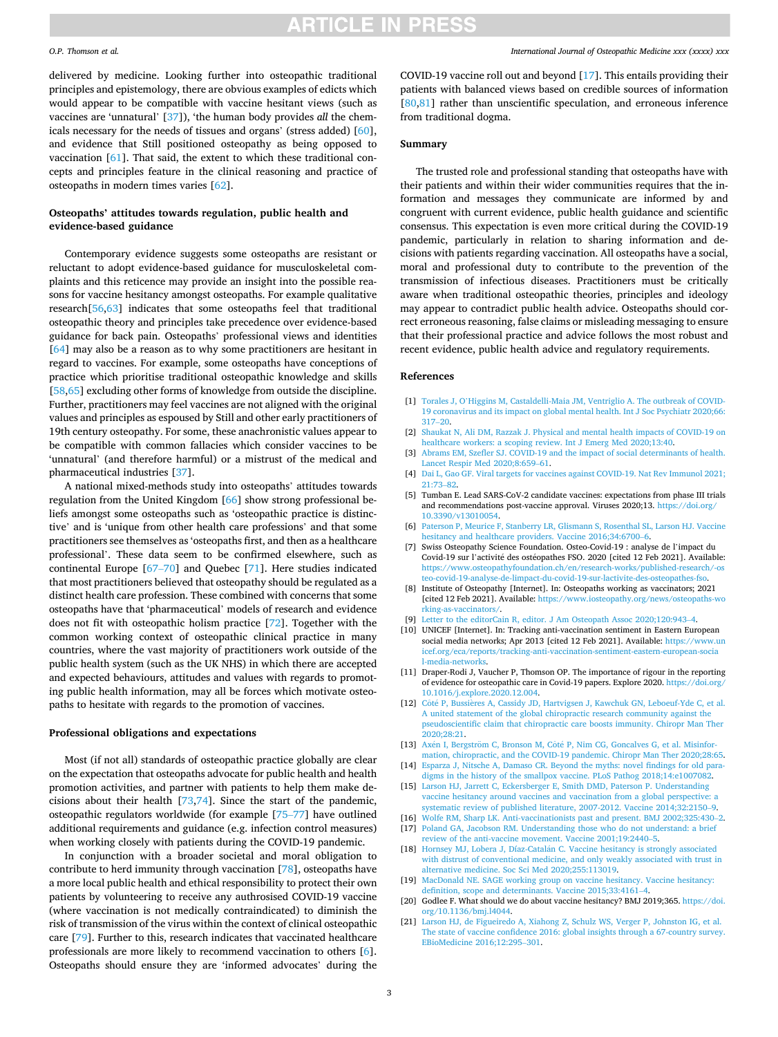#### <span id="page-2-0"></span>*O.P. Thomson et al.*

delivered by medicine. Looking further into osteopathic traditional principles and epistemology, there are obvious examples of edicts which would appear to be compatible with vaccine hesitant views (such as vaccines are 'unnatural' [[37\]](#page-3-0)), 'the human body provides *all* the chemicals necessary for the needs of tissues and organs' (stress added) [\[60](#page-3-0)], and evidence that Still positioned osteopathy as being opposed to vaccination [\[61](#page-3-0)]. That said, the extent to which these traditional concepts and principles feature in the clinical reasoning and practice of osteopaths in modern times varies [\[62](#page-3-0)].

#### **Osteopaths' attitudes towards regulation, public health and evidence-based guidance**

Contemporary evidence suggests some osteopaths are resistant or reluctant to adopt evidence-based guidance for musculoskeletal complaints and this reticence may provide an insight into the possible reasons for vaccine hesitancy amongst osteopaths. For example qualitative research[[56,63\]](#page-3-0) indicates that some osteopaths feel that traditional osteopathic theory and principles take precedence over evidence-based guidance for back pain. Osteopaths' professional views and identities [[64\]](#page-3-0) may also be a reason as to why some practitioners are hesitant in regard to vaccines. For example, some osteopaths have conceptions of practice which prioritise traditional osteopathic knowledge and skills [[58,65](#page-3-0)] excluding other forms of knowledge from outside the discipline. Further, practitioners may feel vaccines are not aligned with the original values and principles as espoused by Still and other early practitioners of 19th century osteopathy. For some, these anachronistic values appear to be compatible with common fallacies which consider vaccines to be 'unnatural' (and therefore harmful) or a mistrust of the medical and pharmaceutical industries [[37\]](#page-3-0).

A national mixed-methods study into osteopaths' attitudes towards regulation from the United Kingdom [[66\]](#page-3-0) show strong professional beliefs amongst some osteopaths such as 'osteopathic practice is distinctive' and is 'unique from other health care professions' and that some practitioners see themselves as 'osteopaths first, and then as a healthcare professional'. These data seem to be confirmed elsewhere, such as continental Europe [\[67](#page-3-0)–70] and Quebec [\[71](#page-3-0)]. Here studies indicated that most practitioners believed that osteopathy should be regulated as a distinct health care profession. These combined with concerns that some osteopaths have that 'pharmaceutical' models of research and evidence does not fit with osteopathic holism practice [\[72](#page-3-0)]. Together with the common working context of osteopathic clinical practice in many countries, where the vast majority of practitioners work outside of the public health system (such as the UK NHS) in which there are accepted and expected behaviours, attitudes and values with regards to promoting public health information, may all be forces which motivate osteopaths to hesitate with regards to the promotion of vaccines.

#### **Professional obligations and expectations**

Most (if not all) standards of osteopathic practice globally are clear on the expectation that osteopaths advocate for public health and health promotion activities, and partner with patients to help them make decisions about their health [\[73,74](#page-3-0)]. Since the start of the pandemic, osteopathic regulators worldwide (for example [[75](#page-3-0)–77] have outlined additional requirements and guidance (e.g. infection control measures) when working closely with patients during the COVID-19 pandemic.

In conjunction with a broader societal and moral obligation to contribute to herd immunity through vaccination [[78\]](#page-3-0), osteopaths have a more local public health and ethical responsibility to protect their own patients by volunteering to receive any authrosised COVID-19 vaccine (where vaccination is not medically contraindicated) to diminish the risk of transmission of the virus within the context of clinical osteopathic care [\[79\]](#page-3-0). Further to this, research indicates that vaccinated healthcare professionals are more likely to recommend vaccination to others [6]. Osteopaths should ensure they are 'informed advocates' during the

COVID-19 vaccine roll out and beyond [17]. This entails providing their patients with balanced views based on credible sources of information [[80,81](#page-3-0)] rather than unscientific speculation, and erroneous inference from traditional dogma.

### **Summary**

The trusted role and professional standing that osteopaths have with their patients and within their wider communities requires that the information and messages they communicate are informed by and congruent with current evidence, public health guidance and scientific consensus. This expectation is even more critical during the COVID-19 pandemic, particularly in relation to sharing information and decisions with patients regarding vaccination. All osteopaths have a social, moral and professional duty to contribute to the prevention of the transmission of infectious diseases. Practitioners must be critically aware when traditional osteopathic theories, principles and ideology may appear to contradict public health advice. Osteopaths should correct erroneous reasoning, false claims or misleading messaging to ensure that their professional practice and advice follows the most robust and recent evidence, public health advice and regulatory requirements.

#### **References**

- [1] Torales J, O'[Higgins M, Castaldelli-Maia JM, Ventriglio A. The outbreak of COVID-](http://refhub.elsevier.com/S1746-0689(21)00005-5/sref1)[19 coronavirus and its impact on global mental health. Int J Soc Psychiatr 2020;66:](http://refhub.elsevier.com/S1746-0689(21)00005-5/sref1)  [317](http://refhub.elsevier.com/S1746-0689(21)00005-5/sref1)–20.
- [2] [Shaukat N, Ali DM, Razzak J. Physical and mental health impacts of COVID-19 on](http://refhub.elsevier.com/S1746-0689(21)00005-5/sref2)  [healthcare workers: a scoping review. Int J Emerg Med 2020;13:40](http://refhub.elsevier.com/S1746-0689(21)00005-5/sref2).
- [3] [Abrams EM, Szefler SJ. COVID-19 and the impact of social determinants of health.](http://refhub.elsevier.com/S1746-0689(21)00005-5/sref3)  [Lancet Respir Med 2020;8:659](http://refhub.elsevier.com/S1746-0689(21)00005-5/sref3)–61.
- [4] Dai L, Gao GF. Viral targets for vaccines against COVID-19. Nat Rev Immunol 2021; [21:73](http://refhub.elsevier.com/S1746-0689(21)00005-5/sref4)–82.
- [5] Tumban E. Lead SARS-CoV-2 candidate vaccines: expectations from phase III trials and recommendations post-vaccine approval. Viruses 2020;13. [https://doi.org/](https://doi.org/10.3390/v13010054)  [10.3390/v13010054](https://doi.org/10.3390/v13010054).
- [6] [Paterson P, Meurice F, Stanberry LR, Glismann S, Rosenthal SL, Larson HJ. Vaccine](http://refhub.elsevier.com/S1746-0689(21)00005-5/sref6)  [hesitancy and healthcare providers. Vaccine 2016;34:6700](http://refhub.elsevier.com/S1746-0689(21)00005-5/sref6)–6.
- [7] Swiss Osteopathy Science Foundation. Osteo-Covid-19 : analyse de l'impact du Covid-19 sur l'activité des ostéopathes FSO. 2020 [cited 12 Feb 2021]. Available: [https://www.osteopathyfoundation.ch/en/research-works/published-research/-os](https://www.osteopathyfoundation.ch/en/research-works/published-research/-osteo-covid-19-analyse-de-limpact-du-covid-19-sur-lactivite-des-osteopathes-fso)  [teo-covid-19-analyse-de-limpact-du-covid-19-sur-lactivite-des-osteopathes-fso](https://www.osteopathyfoundation.ch/en/research-works/published-research/-osteo-covid-19-analyse-de-limpact-du-covid-19-sur-lactivite-des-osteopathes-fso).
- [8] Institute of Osteopathy [Internet]. In: Osteopaths working as vaccinators; 2021 [cited 12 Feb 2021]. Available: https://www.iosteopathy.org/news/osteopaths-wo [rking-as-vaccinators/.](https://www.iosteopathy.org/news/osteopaths-working-as-vaccinators/)
- [9] [Letter to the editorCain R, editor. J Am Osteopath Assoc 2020;120:943](http://refhub.elsevier.com/S1746-0689(21)00005-5/sref9)–4.
- [10] UNICEF [Internet]. In: Tracking anti-vaccination sentiment in Eastern European social media networks; Apr 2013 [cited 12 Feb 2021]. Available: https://www.un [icef.org/eca/reports/tracking-anti-vaccination-sentiment-eastern-european-socia](https://www.unicef.org/eca/reports/tracking-anti-vaccination-sentiment-eastern-european-social-media-networks) [l-media-networks](https://www.unicef.org/eca/reports/tracking-anti-vaccination-sentiment-eastern-european-social-media-networks).
- [11] Draper-Rodi J, Vaucher P, Thomson OP. The importance of rigour in the reporting of evidence for osteopathic care in Covid-19 papers. Explore 2020. [https://doi.org/](https://doi.org/10.1016/j.explore.2020.12.004)  [10.1016/j.explore.2020.12.004.](https://doi.org/10.1016/j.explore.2020.12.004)
- [12] Côté P, Bussières A, Cassidy JD, Hartvigsen J, Kawchuk GN, Leboeuf-Yde C, et al. [A united statement of the global chiropractic research community against the](http://refhub.elsevier.com/S1746-0689(21)00005-5/sref12)  [pseudoscientific claim that chiropractic care boosts immunity. Chiropr Man Ther](http://refhub.elsevier.com/S1746-0689(21)00005-5/sref12) [2020;28:21](http://refhub.elsevier.com/S1746-0689(21)00005-5/sref12).
- [13] Axén I, Bergström C, Bronson M, Côté P, Nim CG, Goncalves G, et al. Misinfor[mation, chiropractic, and the COVID-19 pandemic. Chiropr Man Ther 2020;28:65.](http://refhub.elsevier.com/S1746-0689(21)00005-5/sref13)
- [14] [Esparza J, Nitsche A, Damaso CR. Beyond the myths: novel findings for old para](http://refhub.elsevier.com/S1746-0689(21)00005-5/sref14)[digms in the history of the smallpox vaccine. PLoS Pathog 2018;14:e1007082.](http://refhub.elsevier.com/S1746-0689(21)00005-5/sref14)
- [15] [Larson HJ, Jarrett C, Eckersberger E, Smith DMD, Paterson P. Understanding](http://refhub.elsevier.com/S1746-0689(21)00005-5/sref15) [vaccine hesitancy around vaccines and vaccination from a global perspective: a](http://refhub.elsevier.com/S1746-0689(21)00005-5/sref15) [systematic review of published literature, 2007-2012. Vaccine 2014;32:2150](http://refhub.elsevier.com/S1746-0689(21)00005-5/sref15)–9.
- [16] [Wolfe RM, Sharp LK. Anti-vaccinationists past and present. BMJ 2002;325:430](http://refhub.elsevier.com/S1746-0689(21)00005-5/sref16)–2. [17] Poland GA, Jacobson RM. Understanding those who do not understand: a brief
- [review of the anti-vaccine movement. Vaccine 2001;19:2440](http://refhub.elsevier.com/S1746-0689(21)00005-5/sref17)–5. [18] Hornsey MJ, Lobera J, Díaz-Catalán [C. Vaccine hesitancy is strongly associated](http://refhub.elsevier.com/S1746-0689(21)00005-5/sref18) [with distrust of conventional medicine, and only weakly associated with trust in](http://refhub.elsevier.com/S1746-0689(21)00005-5/sref18)
- [alternative medicine. Soc Sci Med 2020;255:113019](http://refhub.elsevier.com/S1746-0689(21)00005-5/sref18). [19] [MacDonald NE. SAGE working group on vaccine hesitancy. Vaccine hesitancy:](http://refhub.elsevier.com/S1746-0689(21)00005-5/sref19)
- [definition, scope and determinants. Vaccine 2015;33:4161](http://refhub.elsevier.com/S1746-0689(21)00005-5/sref19)–4. [20] Godlee F. What should we do about vaccine hesitancy? BMJ 2019;365. https://doi. [org/10.1136/bmj.l4044.](https://doi.org/10.1136/bmj.l4044)
- [21] [Larson HJ, de Figueiredo A, Xiahong Z, Schulz WS, Verger P, Johnston IG, et al.](http://refhub.elsevier.com/S1746-0689(21)00005-5/sref21)  [The state of vaccine confidence 2016: global insights through a 67-country survey.](http://refhub.elsevier.com/S1746-0689(21)00005-5/sref21)  [EBioMedicine 2016;12:295](http://refhub.elsevier.com/S1746-0689(21)00005-5/sref21)–301.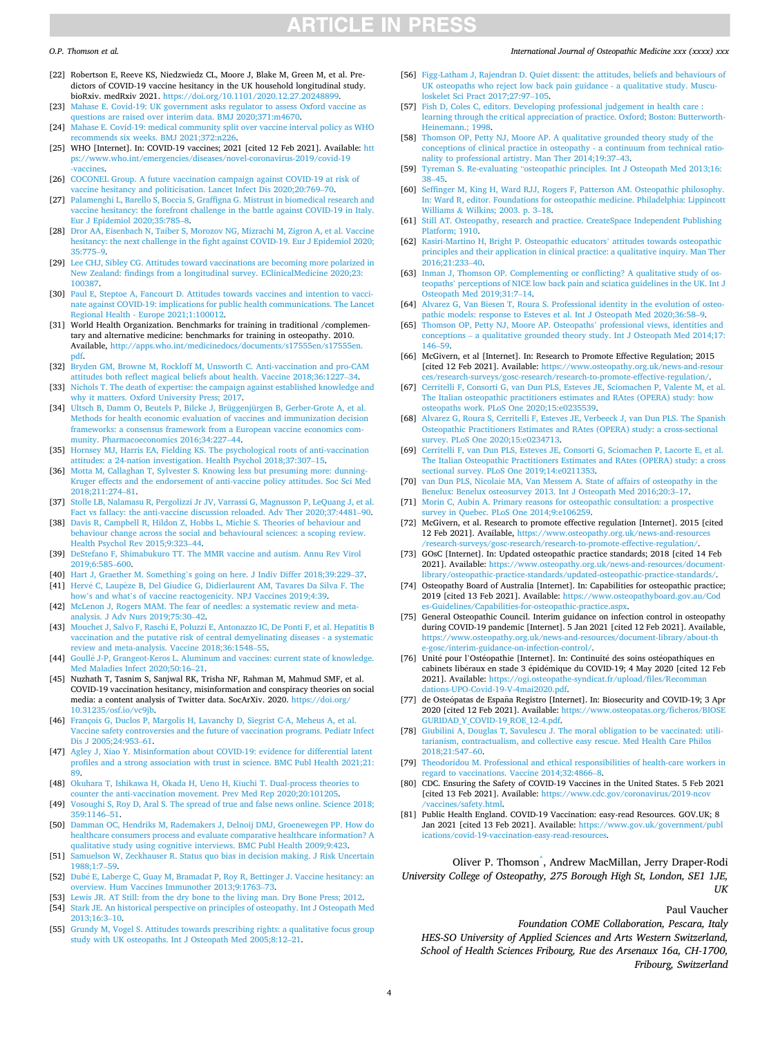#### <span id="page-3-0"></span>*O.P. Thomson et al.*

- [22] Robertson E, Reeve KS, Niedzwiedz CL, Moore J, Blake M, Green M, et al. Predictors of COVID-19 vaccine hesitancy in the UK household longitudinal study. bioRxiv. medRxiv 2021. [https://doi.org/10.1101/2020.12.27.20248899.](https://doi.org/10.1101/2020.12.27.20248899)
- [23] [Mahase E. Covid-19: UK government asks regulator to assess Oxford vaccine as](http://refhub.elsevier.com/S1746-0689(21)00005-5/sref23) [questions are raised over interim data. BMJ 2020;371:m4670.](http://refhub.elsevier.com/S1746-0689(21)00005-5/sref23)
- [24] [Mahase E. Covid-19: medical community split over vaccine interval policy as WHO](http://refhub.elsevier.com/S1746-0689(21)00005-5/sref24)   $ommends$  six weeks. BMJ 2021;372:n226
- [25] WHO [Internet]. In: COVID-19 vaccines; 2021 [cited 12 Feb 2021]. Available: [htt](https://www.who.int/emergencies/diseases/novel-coronavirus-2019/covid-19-vaccines)  [ps://www.who.int/emergencies/diseases/novel-coronavirus-2019/covid-19](https://www.who.int/emergencies/diseases/novel-coronavirus-2019/covid-19-vaccines) [-vaccines.](https://www.who.int/emergencies/diseases/novel-coronavirus-2019/covid-19-vaccines)
- [26] [COCONEL Group. A future vaccination campaign against COVID-19 at risk of](http://refhub.elsevier.com/S1746-0689(21)00005-5/sref26) [vaccine hesitancy and politicisation. Lancet Infect Dis 2020;20:769](http://refhub.elsevier.com/S1746-0689(21)00005-5/sref26)–70.
- [27] [Palamenghi L, Barello S, Boccia S, Graffigna G. Mistrust in biomedical research and](http://refhub.elsevier.com/S1746-0689(21)00005-5/sref27)  [vaccine hesitancy: the forefront challenge in the battle against COVID-19 in Italy.](http://refhub.elsevier.com/S1746-0689(21)00005-5/sref27)  [Eur J Epidemiol 2020;35:785](http://refhub.elsevier.com/S1746-0689(21)00005-5/sref27)–8.
- [28] [Dror AA, Eisenbach N, Taiber S, Morozov NG, Mizrachi M, Zigron A, et al. Vaccine](http://refhub.elsevier.com/S1746-0689(21)00005-5/sref28)  [hesitancy: the next challenge in the fight against COVID-19. Eur J Epidemiol 2020;](http://refhub.elsevier.com/S1746-0689(21)00005-5/sref28)  [35:775](http://refhub.elsevier.com/S1746-0689(21)00005-5/sref28)–9.
- [29] [Lee CHJ, Sibley CG. Attitudes toward vaccinations are becoming more polarized in](http://refhub.elsevier.com/S1746-0689(21)00005-5/sref29)  [New Zealand: findings from a longitudinal survey. EClinicalMedicine 2020;23:](http://refhub.elsevier.com/S1746-0689(21)00005-5/sref29) [100387.](http://refhub.elsevier.com/S1746-0689(21)00005-5/sref29)
- [30] [Paul E, Steptoe A, Fancourt D. Attitudes towards vaccines and intention to vacci](http://refhub.elsevier.com/S1746-0689(21)00005-5/sref30)[nate against COVID-19: implications for public health communications. The Lancet](http://refhub.elsevier.com/S1746-0689(21)00005-5/sref30)  [Regional Health - Europe 2021;1:100012](http://refhub.elsevier.com/S1746-0689(21)00005-5/sref30).
- [31] World Health Organization. Benchmarks for training in traditional /complementary and alternative medicine: benchmarks for training in osteopathy. 2010. Available, [http://apps.who.int/medicinedocs/documents/s17555en/s17555en.](http://apps.who.int/medicinedocs/documents/s17555en/s17555en.pdf) [pdf](http://apps.who.int/medicinedocs/documents/s17555en/s17555en.pdf).
- [32] [Bryden GM, Browne M, Rockloff M, Unsworth C. Anti-vaccination and pro-CAM](http://refhub.elsevier.com/S1746-0689(21)00005-5/sref32)  [attitudes both reflect magical beliefs about health. Vaccine 2018;36:1227](http://refhub.elsevier.com/S1746-0689(21)00005-5/sref32)–34.
- [33] Nichols T. The death of expertise: the campaign against established knowledge and [why it matters. Oxford University Press; 2017](http://refhub.elsevier.com/S1746-0689(21)00005-5/sref33).
- [34] [Ultsch B, Damm O, Beutels P, Bilcke J, Brüggenjürgen B, Gerber-Grote A, et al.](http://refhub.elsevier.com/S1746-0689(21)00005-5/sref34) [Methods for health economic evaluation of vaccines and immunization decision](http://refhub.elsevier.com/S1746-0689(21)00005-5/sref34) [frameworks: a consensus framework from a European vaccine economics com](http://refhub.elsevier.com/S1746-0689(21)00005-5/sref34)[munity. Pharmacoeconomics 2016;34:227](http://refhub.elsevier.com/S1746-0689(21)00005-5/sref34)–44.
- [35] [Hornsey MJ, Harris EA, Fielding KS. The psychological roots of anti-vaccination](http://refhub.elsevier.com/S1746-0689(21)00005-5/sref35)  [attitudes: a 24-nation investigation. Health Psychol 2018;37:307](http://refhub.elsevier.com/S1746-0689(21)00005-5/sref35)–15.
- [36] [Motta M, Callaghan T, Sylvester S. Knowing less but presuming more: dunning-](http://refhub.elsevier.com/S1746-0689(21)00005-5/sref36)[Kruger effects and the endorsement of anti-vaccine policy attitudes. Soc Sci Med](http://refhub.elsevier.com/S1746-0689(21)00005-5/sref36) [2018;211:274](http://refhub.elsevier.com/S1746-0689(21)00005-5/sref36)–81.
- [37] [Stolle LB, Nalamasu R, Pergolizzi Jr JV, Varrassi G, Magnusson P, LeQuang J, et al.](http://refhub.elsevier.com/S1746-0689(21)00005-5/sref37)  [Fact vs fallacy: the anti-vaccine discussion reloaded. Adv Ther 2020;37:4481](http://refhub.elsevier.com/S1746-0689(21)00005-5/sref37)–90.
- [38] [Davis R, Campbell R, Hildon Z, Hobbs L, Michie S. Theories of behaviour and](http://refhub.elsevier.com/S1746-0689(21)00005-5/sref38) [behaviour change across the social and behavioural sciences: a scoping review.](http://refhub.elsevier.com/S1746-0689(21)00005-5/sref38) [Health Psychol Rev 2015;9:323](http://refhub.elsevier.com/S1746-0689(21)00005-5/sref38)–44.
- [39] [DeStefano F, Shimabukuro TT. The MMR vaccine and autism. Annu Rev Virol](http://refhub.elsevier.com/S1746-0689(21)00005-5/sref39)  [2019;6:585](http://refhub.elsevier.com/S1746-0689(21)00005-5/sref39)–600.
- [40] Hart J, Graether M. Something'[s going on here. J Indiv Differ 2018;39:229](http://refhub.elsevier.com/S1746-0689(21)00005-5/sref40)–37.
- [41] Hervé C, Laupèze B, Del Giudice G, Didierlaurent AM, Tavares Da Silva F. The how's and what'[s of vaccine reactogenicity. NPJ Vaccines 2019;4:39](http://refhub.elsevier.com/S1746-0689(21)00005-5/sref41).
- [42] [McLenon J, Rogers MAM. The fear of needles: a systematic review and meta](http://refhub.elsevier.com/S1746-0689(21)00005-5/sref42)[analysis. J Adv Nurs 2019;75:30](http://refhub.elsevier.com/S1746-0689(21)00005-5/sref42)–42.
- [43] [Mouchet J, Salvo F, Raschi E, Poluzzi E, Antonazzo IC, De Ponti F, et al. Hepatitis B](http://refhub.elsevier.com/S1746-0689(21)00005-5/sref43)  [vaccination and the putative risk of central demyelinating diseases - a systematic](http://refhub.elsevier.com/S1746-0689(21)00005-5/sref43)  [review and meta-analysis. Vaccine 2018;36:1548](http://refhub.elsevier.com/S1746-0689(21)00005-5/sref43)–55.
- [44] Goullé J-P, Grangeot-Keros L. Aluminum and vaccines: current state of knowledge. [Med Maladies Infect 2020;50:16](http://refhub.elsevier.com/S1746-0689(21)00005-5/sref44)–21.
- [45] Nuzhath T, Tasnim S, Sanjwal RK, Trisha NF, Rahman M, Mahmud SMF, et al. COVID-19 vaccination hesitancy, misinformation and conspiracy theories on social media: a content analysis of Twitter data. SocArXiv. 2020. [https://doi.org/](https://doi.org/10.31235/osf.io/vc9jb)  [10.31235/osf.io/vc9jb.](https://doi.org/10.31235/osf.io/vc9jb)
- [46] [François G, Duclos P, Margolis H, Lavanchy D, Siegrist C-A, Meheus A, et al.](http://refhub.elsevier.com/S1746-0689(21)00005-5/sref46) [Vaccine safety controversies and the future of vaccination programs. Pediatr Infect](http://refhub.elsevier.com/S1746-0689(21)00005-5/sref46)  [Dis J 2005;24:953](http://refhub.elsevier.com/S1746-0689(21)00005-5/sref46)–61.
- [47] [Agley J, Xiao Y. Misinformation about COVID-19: evidence for differential latent](http://refhub.elsevier.com/S1746-0689(21)00005-5/sref47) [profiles and a strong association with trust in science. BMC Publ Health 2021;21:](http://refhub.elsevier.com/S1746-0689(21)00005-5/sref47)  [89](http://refhub.elsevier.com/S1746-0689(21)00005-5/sref47).
- [48] [Okuhara T, Ishikawa H, Okada H, Ueno H, Kiuchi T. Dual-process theories to](http://refhub.elsevier.com/S1746-0689(21)00005-5/sref48) [counter the anti-vaccination movement. Prev Med Rep 2020;20:101205.](http://refhub.elsevier.com/S1746-0689(21)00005-5/sref48)
- [49] [Vosoughi S, Roy D, Aral S. The spread of true and false news online. Science 2018;](http://refhub.elsevier.com/S1746-0689(21)00005-5/sref49)  [359:1146](http://refhub.elsevier.com/S1746-0689(21)00005-5/sref49)–51.
- [50] [Damman OC, Hendriks M, Rademakers J, Delnoij DMJ, Groenewegen PP. How do](http://refhub.elsevier.com/S1746-0689(21)00005-5/sref50)  [healthcare consumers process and evaluate comparative healthcare information? A](http://refhub.elsevier.com/S1746-0689(21)00005-5/sref50)  [qualitative study using cognitive interviews. BMC Publ Health 2009;9:423](http://refhub.elsevier.com/S1746-0689(21)00005-5/sref50).
- [51] [Samuelson W, Zeckhauser R. Status quo bias in decision making. J Risk Uncertain](http://refhub.elsevier.com/S1746-0689(21)00005-5/sref51)  [1988;1:7](http://refhub.elsevier.com/S1746-0689(21)00005-5/sref51)–59.
- [52] Dubé E, Laberge C, Guay M, Bramadat P, Roy R, Bettinger J. Vaccine hesitancy: an [overview. Hum Vaccines Immunother 2013;9:1763](http://refhub.elsevier.com/S1746-0689(21)00005-5/sref52)–73.
- [53] [Lewis JR. AT Still: from the dry bone to the living man. Dry Bone Press; 2012](http://refhub.elsevier.com/S1746-0689(21)00005-5/sref53). [54] [Stark JE. An historical perspective on principles of osteopathy. Int J Osteopath Med](http://refhub.elsevier.com/S1746-0689(21)00005-5/sref54)  [2013;16:3](http://refhub.elsevier.com/S1746-0689(21)00005-5/sref54)–10.
- [55] [Grundy M, Vogel S. Attitudes towards prescribing rights: a qualitative focus group](http://refhub.elsevier.com/S1746-0689(21)00005-5/sref55)  [study with UK osteopaths. Int J Osteopath Med 2005;8:12](http://refhub.elsevier.com/S1746-0689(21)00005-5/sref55)–21.

### *International Journal of Osteopathic Medicine xxx (xxxx) xxx*

- [56] [Figg-Latham J, Rajendran D. Quiet dissent: the attitudes, beliefs and behaviours of](http://refhub.elsevier.com/S1746-0689(21)00005-5/sref56)  [UK osteopaths who reject low back pain guidance - a qualitative study. Muscu](http://refhub.elsevier.com/S1746-0689(21)00005-5/sref56)[loskelet Sci Pract 2017;27:97](http://refhub.elsevier.com/S1746-0689(21)00005-5/sref56)–105.
- [57] Fish D, Coles C, editors. Developing professional judgement in health care [learning through the critical appreciation of practice. Oxford; Boston: Butterworth-](http://refhub.elsevier.com/S1746-0689(21)00005-5/sref57)[Heinemann.; 1998.](http://refhub.elsevier.com/S1746-0689(21)00005-5/sref57)
- [58] [Thomson OP, Petty NJ, Moore AP. A qualitative grounded theory study of the](http://refhub.elsevier.com/S1746-0689(21)00005-5/sref58) [conceptions of clinical practice in osteopathy - a continuum from technical ratio](http://refhub.elsevier.com/S1746-0689(21)00005-5/sref58)[nality to professional artistry. Man Ther 2014;19:37](http://refhub.elsevier.com/S1746-0689(21)00005-5/sref58)–43.
- [59] Tyreman S. Re-evaluating "[osteopathic principles. Int J Osteopath Med 2013;16:](http://refhub.elsevier.com/S1746-0689(21)00005-5/sref59)  38–[45.](http://refhub.elsevier.com/S1746-0689(21)00005-5/sref59)
- [60] [Seffinger M, King H, Ward RJJ, Rogers F, Patterson AM. Osteopathic philosophy.](http://refhub.elsevier.com/S1746-0689(21)00005-5/sref60)  [In: Ward R, editor. Foundations for osteopathic medicine. Philadelphia: Lippincott](http://refhub.elsevier.com/S1746-0689(21)00005-5/sref60)  Williams & [Wilkins; 2003. p. 3](http://refhub.elsevier.com/S1746-0689(21)00005-5/sref60)–18.
- [61] [Still AT. Osteopathy, research and practice. CreateSpace Independent Publishing](http://refhub.elsevier.com/S1746-0689(21)00005-5/sref61)  [Platform; 1910.](http://refhub.elsevier.com/S1746-0689(21)00005-5/sref61)
- [62] [Kasiri-Martino H, Bright P. Osteopathic educators](http://refhub.elsevier.com/S1746-0689(21)00005-5/sref62)' attitudes towards osteopathic [principles and their application in clinical practice: a qualitative inquiry. Man Ther](http://refhub.elsevier.com/S1746-0689(21)00005-5/sref62)   $2016:21:233-40.$
- [63] [Inman J, Thomson OP. Complementing or conflicting? A qualitative study of os](http://refhub.elsevier.com/S1746-0689(21)00005-5/sref63)teopaths' [perceptions of NICE low back pain and sciatica guidelines in the UK. Int J](http://refhub.elsevier.com/S1746-0689(21)00005-5/sref63)  [Osteopath Med 2019;31:7](http://refhub.elsevier.com/S1746-0689(21)00005-5/sref63)–14.
- [64] [Alvarez G, Van Biesen T, Roura S. Professional identity in the evolution of osteo](http://refhub.elsevier.com/S1746-0689(21)00005-5/sref64)[pathic models: response to Esteves et al. Int J Osteopath Med 2020;36:58](http://refhub.elsevier.com/S1746-0689(21)00005-5/sref64)–9.
- [65] [Thomson OP, Petty NJ, Moore AP. Osteopaths](http://refhub.elsevier.com/S1746-0689(21)00005-5/sref65)' professional views, identities and conceptions – [a qualitative grounded theory study. Int J Osteopath Med 2014;17:](http://refhub.elsevier.com/S1746-0689(21)00005-5/sref65)  [146](http://refhub.elsevier.com/S1746-0689(21)00005-5/sref65)–59.
- [66] McGivern, et al [Internet]. In: Research to Promote Effective Regulation; 2015 [cited 12 Feb 2021]. Available: [https://www.osteopathy.org.uk/news-and-resour](https://www.osteopathy.org.uk/news-and-resources/research-surveys/gosc-research/research-to-promote-effective-regulation/)  [ces/research-surveys/gosc-research/research-to-promote-effective-regulation/](https://www.osteopathy.org.uk/news-and-resources/research-surveys/gosc-research/research-to-promote-effective-regulation/).
- [67] [Cerritelli F, Consorti G, van Dun PLS, Esteves JE, Sciomachen P, Valente M, et al.](http://refhub.elsevier.com/S1746-0689(21)00005-5/sref67)  [The Italian osteopathic practitioners estimates and RAtes \(OPERA\) study: how](http://refhub.elsevier.com/S1746-0689(21)00005-5/sref67)  [osteopaths work. PLoS One 2020;15:e0235539](http://refhub.elsevier.com/S1746-0689(21)00005-5/sref67).
- [68] [Alvarez G, Roura S, Cerritelli F, Esteves JE, Verbeeck J, van Dun PLS. The Spanish](http://refhub.elsevier.com/S1746-0689(21)00005-5/sref68)  [Osteopathic Practitioners Estimates and RAtes \(OPERA\) study: a cross-sectional](http://refhub.elsevier.com/S1746-0689(21)00005-5/sref68)  [survey. PLoS One 2020;15:e0234713](http://refhub.elsevier.com/S1746-0689(21)00005-5/sref68).
- [69] [Cerritelli F, van Dun PLS, Esteves JE, Consorti G, Sciomachen P, Lacorte E, et al.](http://refhub.elsevier.com/S1746-0689(21)00005-5/sref69) [The Italian Osteopathic Practitioners Estimates and RAtes \(OPERA\) study: a cross](http://refhub.elsevier.com/S1746-0689(21)00005-5/sref69)  [sectional survey. PLoS One 2019;14:e0211353.](http://refhub.elsevier.com/S1746-0689(21)00005-5/sref69)
- [70] [van Dun PLS, Nicolaie MA, Van Messem A. State of affairs of osteopathy in the](http://refhub.elsevier.com/S1746-0689(21)00005-5/sref70) [Benelux: Benelux osteosurvey 2013. Int J Osteopath Med 2016;20:3](http://refhub.elsevier.com/S1746-0689(21)00005-5/sref70)–17.
- [71] [Morin C, Aubin A. Primary reasons for osteopathic consultation: a prospective](http://refhub.elsevier.com/S1746-0689(21)00005-5/sref71) [survey in Quebec. PLoS One 2014;9:e106259](http://refhub.elsevier.com/S1746-0689(21)00005-5/sref71).
- [72] McGivern, et al. Research to promote effective regulation [Internet]. 2015 [cited 12 Feb 2021]. Available, [https://www.osteopathy.org.uk/news-and-resources](https://www.osteopathy.org.uk/news-and-resources/research-surveys/gosc-research/research-to-promote-effective-regulation/) [/research-surveys/gosc-research/research-to-promote-effective-regulation/.](https://www.osteopathy.org.uk/news-and-resources/research-surveys/gosc-research/research-to-promote-effective-regulation/)
- [73] GOsC [Internet]. In: Updated osteopathic practice standards; 2018 [cited 14 Feb 2021]. Available: [https://www.osteopathy.org.uk/news-and-resources/document-](https://www.osteopathy.org.uk/news-and-resources/document-library/osteopathic-practice-standards/updated-osteopathic-practice-standards/)[library/osteopathic-practice-standards/updated-osteopathic-practice-standards/](https://www.osteopathy.org.uk/news-and-resources/document-library/osteopathic-practice-standards/updated-osteopathic-practice-standards/).
- [74] Osteopathy Board of Australia [Internet]. In: Capabilities for osteopathic practice; 2019 [cited 13 Feb 2021]. Available: [https://www.osteopathyboard.gov.au/Cod](https://www.osteopathyboard.gov.au/Codes-Guidelines/Capabilities-for-osteopathic-practice.aspx) [es-Guidelines/Capabilities-for-osteopathic-practice.aspx](https://www.osteopathyboard.gov.au/Codes-Guidelines/Capabilities-for-osteopathic-practice.aspx).
- [75] General Osteopathic Council. Interim guidance on infection control in osteopathy during COVID-19 pandemic [Internet]. 5 Jan 2021 [cited 12 Feb 2021]. Available, [https://www.osteopathy.org.uk/news-and-resources/document-library/about-th](https://www.osteopathy.org.uk/news-and-resources/document-library/about-the-gosc/interim-guidance-on-infection-control/) [e-gosc/interim-guidance-on-infection-control/](https://www.osteopathy.org.uk/news-and-resources/document-library/about-the-gosc/interim-guidance-on-infection-control/).
- [76] Unité pour l'Ostéopathie [Internet]. In: Continuité des soins ostéopathiques en cabinets libéraux en stade 3 épidémique du COVID-19; 4 May 2020 [cited 12 Feb 2021]. Available: [https://ogi.osteopathe-syndicat.fr/upload/files/Recomman](https://ogi.osteopathe-syndicat.fr/upload/files/Recommandations-UPO-Covid-19-V-4mai2020.pdf) [dations-UPO-Covid-19-V-4mai2020.pdf](https://ogi.osteopathe-syndicat.fr/upload/files/Recommandations-UPO-Covid-19-V-4mai2020.pdf)
- [77] de Osteópatas de España Registro [Internet]. In: Biosecurity and COVID-19; 3 Apr 2020 [cited 12 Feb 2021]. Available: [https://www.osteopatas.org/ficheros/BIOSE](https://www.osteopatas.org/ficheros/BIOSEGURIDAD_Y_COVID-19_ROE_12-4.pdf)  [GURIDAD\\_Y\\_COVID-19\\_ROE\\_12-4.pdf](https://www.osteopatas.org/ficheros/BIOSEGURIDAD_Y_COVID-19_ROE_12-4.pdf).
- [78] [Giubilini A, Douglas T, Savulescu J. The moral obligation to be vaccinated: utili](http://refhub.elsevier.com/S1746-0689(21)00005-5/sref78)[tarianism, contractualism, and collective easy rescue. Med Health Care Philos](http://refhub.elsevier.com/S1746-0689(21)00005-5/sref78)  [2018;21:547](http://refhub.elsevier.com/S1746-0689(21)00005-5/sref78)–60.
- [79] [Theodoridou M. Professional and ethical responsibilities of health-care workers in](http://refhub.elsevier.com/S1746-0689(21)00005-5/sref79)  [regard to vaccinations. Vaccine 2014;32:4866](http://refhub.elsevier.com/S1746-0689(21)00005-5/sref79)–8.
- [80] CDC. Ensuring the Safety of COVID-19 Vaccines in the United States. 5 Feb 2021 [cited 13 Feb 2021]. Available: [https://www.cdc.gov/coronavirus/2019-ncov](https://www.cdc.gov/coronavirus/2019-ncov/vaccines/safety.html) accines/safety.html.
- [81] Public Health England. COVID-19 Vaccination: easy-read Resources. GOV.UK; 8 Jan 2021 [cited 13 Feb 2021]. Available: [https://www.gov.uk/government/publ](https://www.gov.uk/government/publications/covid-19-vaccination-easy-read-resources)  [ications/covid-19-vaccination-easy-read-resources.](https://www.gov.uk/government/publications/covid-19-vaccination-easy-read-resources)

Oliver P. Thomson\* , Andrew MacMillan, Jerry Draper-Rodi *University College of Osteopathy, 275 Borough High St, London, SE1 1JE, UK* 

### Paul Vaucher

*Foundation COME Collaboration, Pescara, Italy HES-SO University of Applied Sciences and Arts Western Switzerland, School of Health Sciences Fribourg, Rue des Arsenaux 16a, CH-1700, Fribourg, Switzerland*